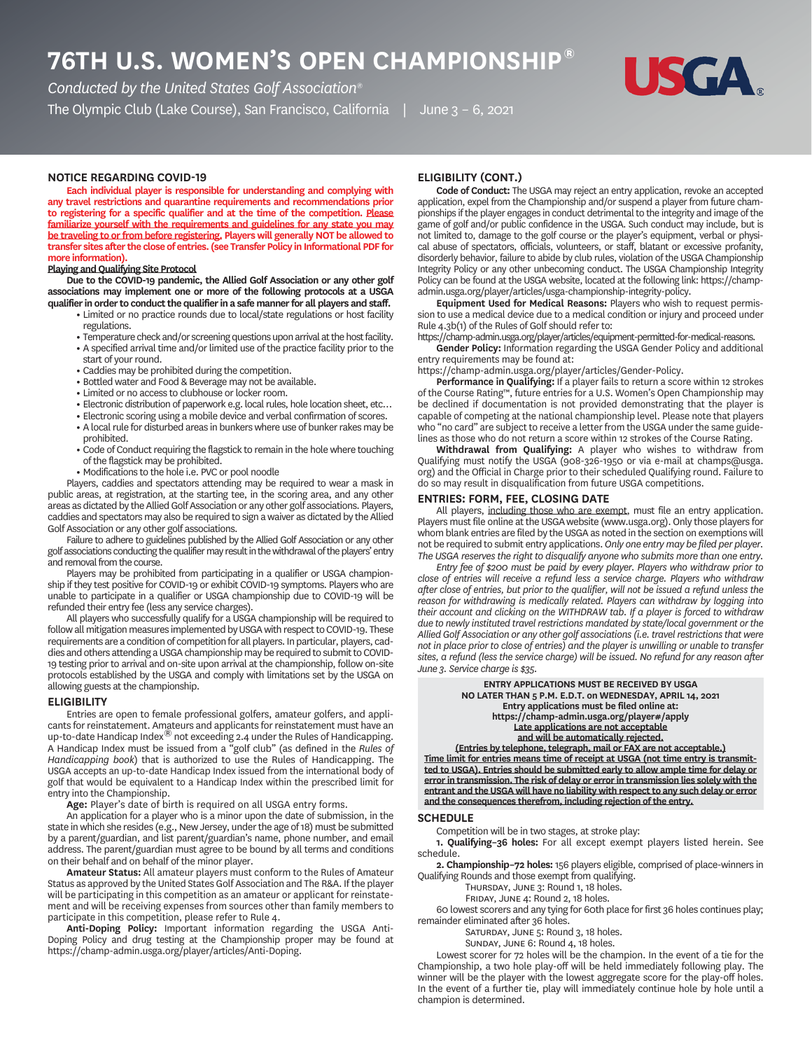# **76TH U.S. WOMEN'S OPEN CHAMPIONSHIP®**

*Conducted by the United States Golf Association®*

The Olympic Club (Lake Course), San Francisco, California | June 3 - 6, 2021



# **NOTICE REGARDING COVID**

**Each individual player is responsible for understanding and complying with any travel restrictions and quarantine requirements and recommendations prior to registering for a specific qualifier and at the time of the competition. Please familiarize yourself with the requirements and guidelines for any state you may be traveling to or from before registering. Players will generally NOT be allowed to transfer sites after the close of entries. (see Transfer Policy in Informational PDF for more information).**

# **Playing and Qualifying Site Protocol**

**Due to the COVID-19 pandemic, the Allied Golf Association or any other golf associations may implement one or more of the following protocols at a USGA qualifier in order to conduct the qualifier in a safe manner for all players and staff.**

- **•** Limited or no practice rounds due to local/state regulations or host facility regulations.
- **•** Temperature check and/or screening questions upon arrival at the host facility.
- **•** A specified arrival time and/or limited use of the practice facility prior to the start of your round.
- **•** Caddies may be prohibited during the competition.
- **•** Bottled water and Food & Beverage may not be available.
- **•** Limited or no access to clubhouse or locker room.
- **•** Electronic distribution of paperwork e.g. local rules, hole location sheet, etc…
- **•** Electronic scoring using a mobile device and verbal confirmation of scores.
- **•** A local rule for disturbed areas in bunkers where use of bunker rakes may be prohibited.
- **•** Code of Conduct requiring the flagstick to remain in the hole where touching of the flagstick may be prohibited.
- **•** Modifications to the hole i.e. PVC or pool noodle

Players, caddies and spectators attending may be required to wear a mask in public areas, at registration, at the starting tee, in the scoring area, and any other areas as dictated by the Allied Golf Association or any other golf associations. Players, caddies and spectators may also be required to sign a waiver as dictated by the Allied Golf Association or any other golf associations.

Failure to adhere to guidelines published by the Allied Golf Association or any other golf associations conducting the qualifier may result in the withdrawal of the players' entry and removal from the course.

Players may be prohibited from participating in a qualifier or USGA championship if they test positive for COVID-19 or exhibit COVID-19 symptoms. Players who are unable to participate in a qualifier or USGA championship due to COVID-19 will be refunded their entry fee (less any service charges).

All players who successfully qualify for a USGA championship will be required to follow all mitigation measures implemented by USGA with respect to COVID-19. These requirements are a condition of competition for all players. In particular, players, caddies and others attending a USGA championship may be required to submit to COVID-19 testing prior to arrival and on-site upon arrival at the championship, follow on-site protocols established by the USGA and comply with limitations set by the USGA on allowing guests at the championship.

#### **ELIGIBILITY**

Entries are open to female professional golfers, amateur golfers, and applicants for reinstatement. Amateurs and applicants for reinstatement must have an up-to-date Handicap Index® not exceeding 2.4 under the Rules of Handicapping. A Handicap Index must be issued from a "golf club" (as defined in the *Rules of Handicapping book*) that is authorized to use the Rules of Handicapping. The USGA accepts an up-to-date Handicap Index issued from the international body of golf that would be equivalent to a Handicap Index within the prescribed limit for entry into the Championship.

**Age:** Player's date of birth is required on all USGA entry forms.

An application for a player who is a minor upon the date of submission, in the state in which she resides (e.g., New Jersey, under the age of 18) must be submitted by a parent/guardian, and list parent/guardian's name, phone number, and email address. The parent/guardian must agree to be bound by all terms and conditions on their behalf and on behalf of the minor player.

**Amateur Status:** All amateur players must conform to the Rules of Amateur Status as approved by the United States Golf Association and The R&A. If the player will be participating in this competition as an amateur or applicant for reinstatement and will be receiving expenses from sources other than family members to participate in this competition, please refer to Rule 4.

**Anti-Doping Policy:** Important information regarding the USGA Anti-Doping Policy and drug testing at the Championship proper may be found at https://champ-admin.usga.org/player/articles/Anti-Doping.

# **ELIGIBILITY CONT.**

**Code of Conduct:** The USGA may reject an entry application, revoke an accepted application, expel from the Championship and/or suspend a player from future championships if the player engages in conduct detrimental to the integrity and image of the game of golf and/or public confidence in the USGA. Such conduct may include, but is not limited to, damage to the golf course or the player's equipment, verbal or physical abuse of spectators, officials, volunteers, or staff, blatant or excessive profanity, disorderly behavior, failure to abide by club rules, violation of the USGA Championship Integrity Policy or any other unbecoming conduct. The USGA Championship Integrity Policy can be found at the USGA website, located at the following link: https://champadmin.usga.org/player/articles/usga-championship-integrity-policy.

**Equipment Used for Medical Reasons:** Players who wish to request permission to use a medical device due to a medical condition or injury and proceed under Rule 4.3b(1) of the Rules of Golf should refer to:

https://champ-admin.usga.org/player/articles/equipment-permitted-for-medical-reasons.

**Gender Policy:** Information regarding the USGA Gender Policy and additional entry requirements may be found at:

https://champ-admin.usga.org/player/articles/Gender-Policy.

**Performance in Qualifying:** If a player fails to return a score within 12 strokes of the Course Rating™, future entries for a U.S. Women's Open Championship may be declined if documentation is not provided demonstrating that the player is capable of competing at the national championship level. Please note that players who "no card" are subject to receive a letter from the USGA under the same guidelines as those who do not return a score within 12 strokes of the Course Rating.

**Withdrawal from Qualifying:** A player who wishes to withdraw from Qualifying must notify the USGA (908-326-1950 or via e-mail at champs@usga. org) and the Official in Charge prior to their scheduled Qualifying round. Failure to do so may result in disqualification from future USGA competitions.

# **ENTRIES: FORM, FEE, CLOSING DATE**

All players, including those who are exempt, must file an entry application. Players must file online at the USGAwebsite (www.usga.org). Only those players for whom blank entries are filed by the USGA as noted in the section on exemptions will not be required to submit entry applications. *Only one entry may be filed per player. The USGA reserves the right to disqualify anyone who submits more than one entry.*

*Entry fee of \$200 must be paid by every player. Players who withdraw prior to close of entries will receive a refund less a service charge. Players who withdraw after close of entries, but prior to the qualifier, will not be issued a refund unless the reason for withdrawing is medically related. Players can withdraw by logging into their account and clicking on the WITHDRAW tab. If a player is forced to withdraw due to newly instituted travel restrictions mandated by state/local government or the Allied Golf Association or any other golf associations (i.e. travel restrictions that were not in place prior to close of entries) and the player is unwilling or unable to transfer sites, a refund (less the service charge) will be issued. No refund for any reason after June 3. Service charge is \$35.*

#### **ENTRY APPLICATIONS MUST BE RECEIVED BY USGA NO LATER THAN 5 P.M. E.D.T. on WEDNESDAY, APRIL 14, 2021 Entry applications must be filed online at: https://champ-admin.usga.org/player#/apply Late applications are not acceptable and will be automatically rejected.**

**(Entries by telephone, telegraph, mail or FAX are not acceptable.) Time limit for entries means time of receipt at USGA (not time entry is transmitted to USGA). Entries should be submitted early to allow ample time for delay or error in transmission. The risk of delay or error in transmission lies solely with the entrant and the USGA will have no liability with respect to any such delay or error and the consequences therefrom, including rejection of the entry.**

#### **SCHEDULE**

Competition will be in two stages, at stroke play:

**1. Qualifying–36 holes:** For all except exempt players listed herein. See schedule.

**2. Championship–72 holes:** 156 players eligible, comprised of place-winners in Qualifying Rounds and those exempt from qualifying.

THURSDAY, JUNE 3: Round 1, 18 holes.

FRIDAY, JUNE 4: Round 2, 18 holes.

60 lowest scorers and any tying for 60th place for first 36 holes continues play; remainder eliminated after 36 holes.

SATURDAY, JUNE 5: Round 3, 18 holes.

SUNDAY, JUNE 6: Round 4, 18 holes.

Lowest scorer for 72 holes will be the champion. In the event of a tie for the Championship, a two hole play-off will be held immediately following play. The winner will be the player with the lowest aggregate score for the play-off holes. In the event of a further tie, play will immediately continue hole by hole until a champion is determined.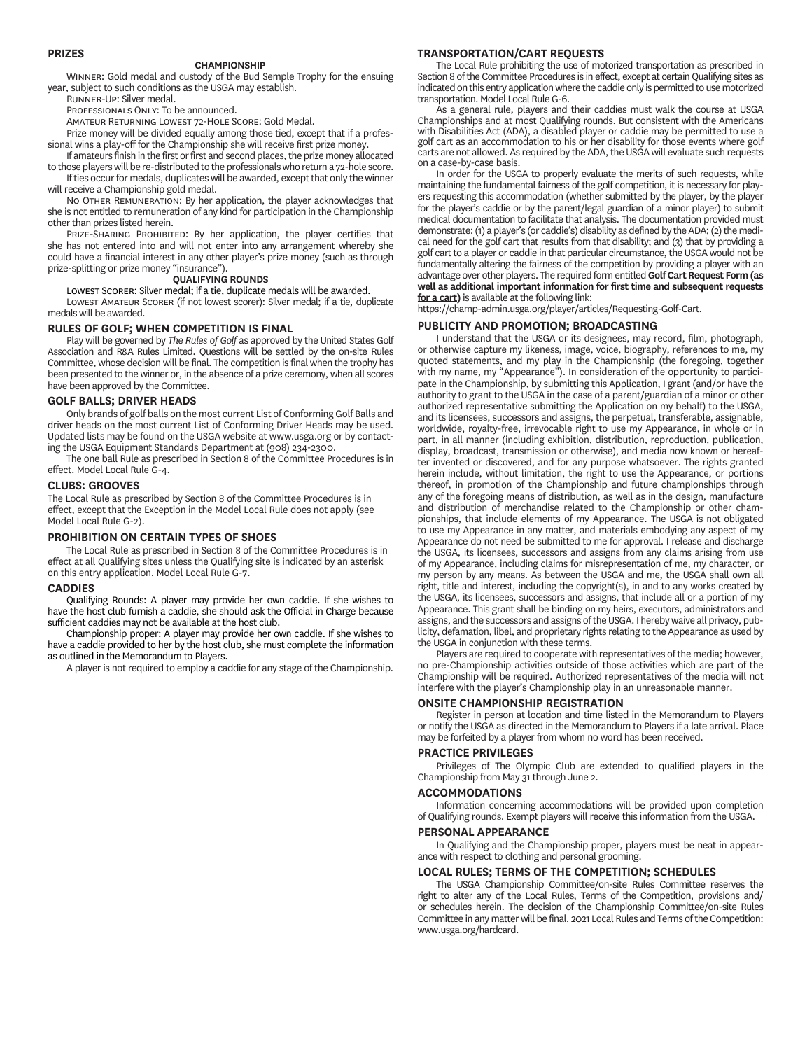# **PRIZES**

#### **CHAMPIONSHIP**

WINNER: Gold medal and custody of the Bud Semple Trophy for the ensuing year, subject to such conditions as the USGA may establish. RUNNER-UP' Silver medal

PROFESSIONALS ONLY: To be announced. AMATEUR RETURNING LOWEST 72-HOLE SCORE: Gold Medal.

Prize money will be divided equally among those tied, except that if a professional wins a play-off for the Championship she will receive first prize money.

If amateurs finish in the first or first and second places, the prize money allocated to those players will be re-distributed to the professionals who return a 72-hole score. If ties occur for medals, duplicates will be awarded, except that only the winner

will receive a Championship gold medal. NO OTHER REMUNERATION: By her application, the player acknowledges that she is not entitled to remuneration of any kind for participation in the Championship other than prizes listed herein.

PRIZE-SHARING PROHIBITED: By her application, the player certifies that she has not entered into and will not enter into any arrangement whereby she could have a financial interest in any other player's prize money (such as through prize-splitting or prize money "insurance").

#### **QUALIFYING ROUNDS**

LOWEST SCORER: Silver medal; if a tie, duplicate medals will be awarded. LOWEST AMATEUR SCORER (if not lowest scorer): Silver medal; if a tie, duplicate medals will be awarded.

#### **RULES OF GOLF; WHEN COMPETITION IS FINAL**

Play will be governed by *The Rules of Golf* as approved by the United States Golf Association and R&A Rules Limited. Questions will be settled by the on-site Rules Committee, whose decision will be final. The competition is final when the trophy has been presented to the winner or, in the absence of a prize ceremony, when all scores have been approved by the Committee.

# **GOLF BALLS; DRIVER HEADS**

Only brands of golf balls on the most current List of Conforming Golf Balls and driver heads on the most current List of Conforming Driver Heads may be used. Updated lists may be found on the USGA website at www.usga.org or by contacting the USGA Equipment Standards Department at (908) 234-2300.

The one ball Rule as prescribed in Section 8 of the Committee Procedures is in effect. Model Local Rule G-4.

# **CLUBS: GROOVES**

The Local Rule as prescribed by Section 8 of the Committee Procedures is in effect, except that the Exception in the Model Local Rule does not apply (see Model Local Rule G-2).

## **PROHIBITION ON CERTAIN TYPES OF SHOES**

The Local Rule as prescribed in Section 8 of the Committee Procedures is in effect at all Qualifying sites unless the Qualifying site is indicated by an asterisk on this entry application. Model Local Rule G-7.

# **CADDIES**

Qualifying Rounds: A player may provide her own caddie. If she wishes to have the host club furnish a caddie, she should ask the Official in Charge because sufficient caddies may not be available at the host club.

Championship proper: A player may provide her own caddie. If she wishes to have a caddie provided to her by the host club, she must complete the information as outlined in the Memorandum to Players.

A player is not required to employ a caddie for any stage of the Championship.

# **TRANSPORTATIONCART REQUESTS**

The Local Rule prohibiting the use of motorized transportation as prescribed in Section 8 of the Committee Procedures is in effect, except at certain Qualifying sites as indicated on this entry application where the caddie only is permitted to use motorized transportation. Model Local Rule G-6.

As a general rule, players and their caddies must walk the course at USGA Championships and at most Qualifying rounds. But consistent with the Americans with Disabilities Act (ADA), a disabled player or caddie may be permitted to use a golf cart as an accommodation to his or her disability for those events where golf carts are not allowed. As required by the ADA, the USGA will evaluate such requests on a case-by-case basis.

In order for the USGA to properly evaluate the merits of such requests, while maintaining the fundamental fairness of the golf competition, it is necessary for players requesting this accommodation (whether submitted by the player, by the player for the player's caddie or by the parent/legal guardian of a minor player) to submit medical documentation to facilitate that analysis. The documentation provided must demonstrate: (1) a player's (or caddie's) disability as defined by the ADA; (2) the medical need for the golf cart that results from that disability; and (3) that by providing a golf cart to a player or caddie in that particular circumstance, the USGA would not be fundamentally altering the fairness of the competition by providing a player with an advantage over other players. The required form entitled **Golf Cart Request Form (as well as additional important information for first time and subsequent requests for a cart)** is available at the following link:

https://champ-admin.usga.org/player/articles/Requesting-Golf-Cart.

# **PUBLICITY AND PROMOTION; BROADCASTING**

I understand that the USGA or its designees, may record, film, photograph, or otherwise capture my likeness, image, voice, biography, references to me, my quoted statements, and my play in the Championship (the foregoing, together with my name, my "Appearance"). In consideration of the opportunity to participate in the Championship, by submitting this Application, I grant (and/or have the authority to grant to the USGA in the case of a parent/guardian of a minor or other authorized representative submitting the Application on my behalf) to the USGA, and its licensees, successors and assigns, the perpetual, transferable, assignable, worldwide, royalty-free, irrevocable right to use my Appearance, in whole or in part, in all manner (including exhibition, distribution, reproduction, publication, display, broadcast, transmission or otherwise), and media now known or hereafter invented or discovered, and for any purpose whatsoever. The rights granted herein include, without limitation, the right to use the Appearance, or portions thereof, in promotion of the Championship and future championships through any of the foregoing means of distribution, as well as in the design, manufacture and distribution of merchandise related to the Championship or other championships, that include elements of my Appearance. The USGA is not obligated to use my Appearance in any matter, and materials embodying any aspect of my Appearance do not need be submitted to me for approval. I release and discharge the USGA, its licensees, successors and assigns from any claims arising from use of my Appearance, including claims for misrepresentation of me, my character, or my person by any means. As between the USGA and me, the USGA shall own all right, title and interest, including the copyright(s), in and to any works created by the USGA, its licensees, successors and assigns, that include all or a portion of my Appearance. This grant shall be binding on my heirs, executors, administrators and assigns, and the successors and assigns of the USGA. I hereby waive all privacy, publicity, defamation, libel, and proprietary rights relating to the Appearance as used by the USGA in conjunction with these terms.

Players are required to cooperate with representatives of the media; however, no pre-Championship activities outside of those activities which are part of the Championship will be required. Authorized representatives of the media will not interfere with the player's Championship play in an unreasonable manner.

# **ONSITE CHAMPIONSHIP REGISTRATION**

Register in person at location and time listed in the Memorandum to Players or notify the USGA as directed in the Memorandum to Players if a late arrival. Place may be forfeited by a player from whom no word has been received.

# **PRACTICE PRIVILEGES**

Privileges of The Olympic Club are extended to qualified players in the Championship from May 31 through June 2.

#### **ACCOMMODATIONS**

Information concerning accommodations will be provided upon completion of Qualifying rounds. Exempt players will receive this information from the USGA.

#### **PERSONAL APPEARANCE**

In Qualifying and the Championship proper, players must be neat in appearance with respect to clothing and personal grooming.

# **LOCAL RULES; TERMS OF THE COMPETITION; SCHEDULES**

The USGA Championship Committee/on-site Rules Committee reserves the right to alter any of the Local Rules, Terms of the Competition, provisions and/ or schedules herein. The decision of the Championship Committee/on-site Rules Committee in any matter will be final. 2021 Local Rules and Terms of the Competition: www.usga.org/hardcard.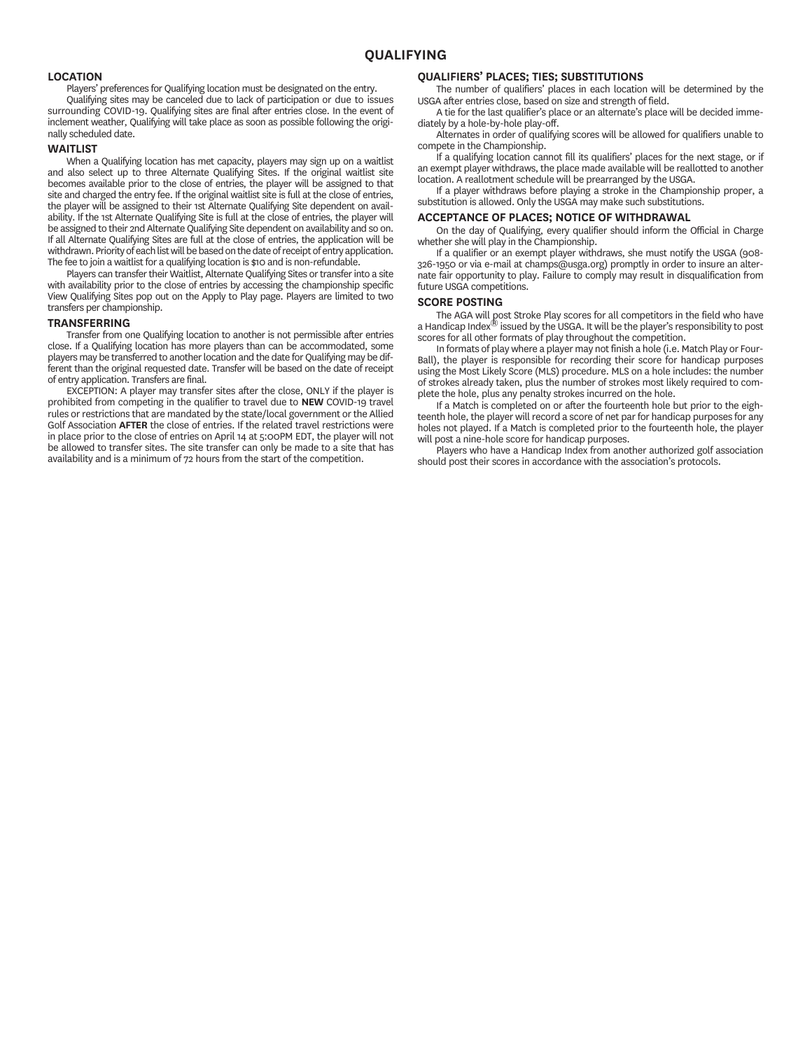# **LOCATION**

Players' preferences for Qualifying location must be designated on the entry.

Qualifying sites may be canceled due to lack of participation or due to issues surrounding COVID-19. Qualifying sites are final after entries close. In the event of inclement weather, Qualifying will take place as soon as possible following the originally scheduled date.

#### **WAITLIST**

When a Qualifying location has met capacity, players may sign up on a waitlist and also select up to three Alternate Qualifying Sites. If the original waitlist site becomes available prior to the close of entries, the player will be assigned to that site and charged the entry fee. If the original waitlist site is full at the close of entries, the player will be assigned to their 1st Alternate Qualifying Site dependent on availability. If the 1st Alternate Qualifying Site is full at the close of entries, the player will be assigned to their 2nd Alternate Qualifying Site dependent on availability and so on. If all Alternate Qualifying Sites are full at the close of entries, the application will be withdrawn. Priority of each list will be based on the date of receipt of entry application. The fee to join a waitlist for a qualifying location is \$10 and is non-refundable.

Players can transfer their Waitlist, Alternate Qualifying Sites or transfer into a site with availability prior to the close of entries by accessing the championship specific View Qualifying Sites pop out on the Apply to Play page. Players are limited to two transfers per championship.

# **TRANSFERRING**

Transfer from one Qualifying location to another is not permissible after entries close. If a Qualifying location has more players than can be accommodated, some players may be transferred to another location and the date for Qualifying may be different than the original requested date. Transfer will be based on the date of receipt of entry application. Transfers are final.

EXCEPTION: A player may transfer sites after the close, ONLY if the player is prohibited from competing in the qualifier to travel due to **NEW** COVID-19 travel rules or restrictions that are mandated by the state/local government or the Allied Golf Association **AFTER** the close of entries. If the related travel restrictions were in place prior to the close of entries on April 14 at 5:00PM EDT, the player will not be allowed to transfer sites. The site transfer can only be made to a site that has availability and is a minimum of 72 hours from the start of the competition.

# **QUALIFIERS' PLACES; TIES; SUBSTITUTIONS**

The number of qualifiers' places in each location will be determined by the USGA after entries close, based on size and strength of field.

A tie for the last qualifier's place or an alternate's place will be decided immediately by a hole-by-hole play-off.

Alternates in order of qualifying scores will be allowed for qualifiers unable to compete in the Championship.

If a qualifying location cannot fill its qualifiers' places for the next stage, or if an exempt player withdraws, the place made available will be reallotted to another location. A reallotment schedule will be prearranged by the USGA.

If a player withdraws before playing a stroke in the Championship proper, a substitution is allowed. Only the USGA may make such substitutions.

# **ACCEPTANCE OF PLACES; NOTICE OF WITHDRAWAL**

On the day of Qualifying, every qualifier should inform the Official in Charge whether she will play in the Championship.

If a qualifier or an exempt player withdraws, she must notify the USGA (908- 326-1950 or via e-mail at champs@usga.org) promptly in order to insure an alternate fair opportunity to play. Failure to comply may result in disqualification from future USGA competitions.

#### **SCORE POSTING**

The AGA will post Stroke Play scores for all competitors in the field who have a Handicap Index<sup>®</sup> issued by the USGA. It will be the player's responsibility to post scores for all other formats of play throughout the competition.

In formats of play where a player may not finish a hole (i.e. Match Play or Four-Ball), the player is responsible for recording their score for handicap purposes using the Most Likely Score (MLS) procedure. MLS on a hole includes: the number of strokes already taken, plus the number of strokes most likely required to complete the hole, plus any penalty strokes incurred on the hole.

If a Match is completed on or after the fourteenth hole but prior to the eighteenth hole, the player will record a score of net par for handicap purposes for any holes not played. If a Match is completed prior to the fourteenth hole, the player will post a nine-hole score for handicap purposes.

Players who have a Handicap Index from another authorized golf association should post their scores in accordance with the association's protocols.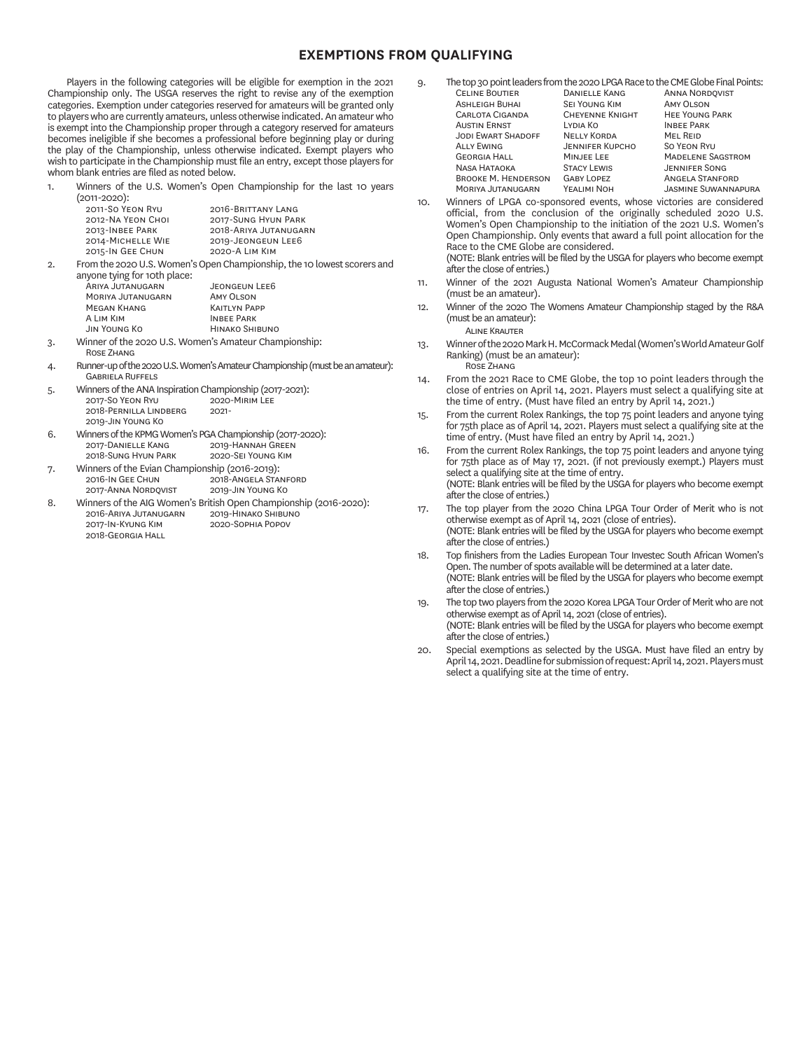# **EXEMPTIONS FROM QUALIFYING**

Players in the following categories will be eligible for exemption in the 2021 Championship only. The USGA reserves the right to revise any of the exemption categories. Exemption under categories reserved for amateurs will be granted only to players who are currently amateurs, unless otherwise indicated. An amateur who is exempt into the Championship proper through a category reserved for amateurs becomes ineligible if she becomes a professional before beginning play or during the play of the Championship, unless otherwise indicated. Exempt players who wish to participate in the Championship must file an entry, except those players for whom blank entries are filed as noted below.

1. Winners of the U.S. Women's Open Championship for the last 10 years  $(2011-2020)$ 

|        | 2011-SO YEON RYU  | 2016-BRITTANY LANG                                                 |
|--------|-------------------|--------------------------------------------------------------------|
|        | 2012-NA YEON CHOL | 2017-SUNG HYUN PARK                                                |
|        | 2013-INBEE PARK   | 2018-ARIYA JUTANUGARN                                              |
|        | 2014-MICHELLE WIE | 2019-JEONGEUN LEE6                                                 |
|        | 2015-IN GEE CHUN  | 2020-A LIM KIM                                                     |
| $\sim$ |                   | Eram the sono U.S. Wamen's Open Championship, the 10 Journal coard |

2. From the 2020 U.S. Women's Open Championship, the 10 lowest scorers and anyone tying for 10th place:

.<br>ARIYA JUTANUGARN JEONGEUN LEE6<br>MORIYA JUTANUGARN AMY OLSON MORIYA JUTANUGARN AMY OLSON<br>MEGAN KHANG KAITLYN PAPE MEGAN KHANG<br>A Lim Kim A L K I P HINAKO SHIBUNO

- 3. Winner of the 2020 U.S. Women's Amateur Championship: **ROSE ZHANG**
- 4. Runner-up of the 2020 U.S. Women's Amateur Championship (must be an amateur): **GARRIELA RUFFELS**

| 5. | Winners of the ANA Inspiration Championship (2017-2021):  |                   |  |  |  |
|----|-----------------------------------------------------------|-------------------|--|--|--|
|    | 2017-SO YEON RYU                                          | 2020-MIRIM LEE    |  |  |  |
|    | 2018-PERNILLA LINDBERG                                    | $2021 -$          |  |  |  |
|    | 2019-JIN YOUNG KO                                         |                   |  |  |  |
| 6. | Winners of the KPMG Women's PGA Championship (2017-2020): |                   |  |  |  |
|    | 2017-DANIELLE KANG                                        | 2019-HANNAH GREEN |  |  |  |
|    | 2018-SUNG HYUN PARK<br>2020-SEI YOUNG KIM                 |                   |  |  |  |
|    |                                                           |                   |  |  |  |

7. Winners of the Evian Championship (2016-2019):<br>2018-ANGELA STAI 2018-ANGELA STANFORD<br>2019-JIN YOUNG KO 2017-ANNA NORDQVIST

8. Winners of the AIG Women's British Open Championship (2016-2020):<br>2016-ARIYA JUTANUGARN 2019-HINAKO SHIBUNO 2016-ARIYA JUTANUGARN<br>2017-IN-KYUNG KIM 2020-SOPHIA POPOV 2018-GEORGIA HALL

- 9. The top 30 point leaders from the 2020 LPGA Race to the CME Globe Final Points:<br>CELINE BOUTIER DANIFLLE KANG ANNA NORDOVIST DANIELLE KANG ANNA NORDQVIST<br>SEI YOUNG KIM AMY OLSON ASHLEIGH BUHAI SEI YOUNG KIM<br>CARLOTA CIGANDA CHEVENNE KNIGHT CHEYENNE KNIGHT HEE YOUNG PARK<br>LYDIA KO HEE PARK A E L K I P JODI EWART SHADOFF NELLY KORDA MEL REID<br>ALLY EWING JENNIFER KUPCHO SO YEON RYU ALLY EWING<br>GEORGIA HALL MINJEE LEE MINJEE LEE MADELENE SAGSTROM<br>STACY LEWIS JENNIFER SONG NASA HATAOKA STACY LEWIS JENNIFER SONG<br>BROOKE M. HENDERSON GABY LOPEZ ANGELA STANFORD BROOKE M. HENDERSON GABY LOPEZ<br>MORIYA JUTANUGARN YEALIMI NOH
- JASMINE SUWANNAPURA 10. Winners of LPGA co-sponsored events, whose victories are considered official, from the conclusion of the originally scheduled 2020 U.S. Women's Open Championship to the initiation of the 2021 U.S. Women's Open Championship. Only events that award a full point allocation for the Race to the CME Globe are considered. (NOTE: Blank entries will be filed by the USGA for players who become exempt after the close of entries.)
- 11. Winner of the 2021 Augusta National Women's Amateur Championship (must be an amateur).
- 12. Winner of the 2020 The Womens Amateur Championship staged by the R&A (must be an amateur): **ALINE KRAUTER**
- 13. Winner of the 2020 Mark H. McCormack Medal (Women's World Amateur Golf Ranking) (must be an amateur): **ROSE ZHANG**
- 14. From the 2021 Race to CME Globe, the top 10 point leaders through the close of entries on April 14, 2021. Players must select a qualifying site at the time of entry. (Must have filed an entry by April 14, 2021.)
- 15. From the current Rolex Rankings, the top 75 point leaders and anyone tying for 75th place as of April 14, 2021. Players must select a qualifying site at the time of entry. (Must have filed an entry by April 14, 2021.)
- 16. From the current Rolex Rankings, the top 75 point leaders and anyone tying for 75th place as of May 17, 2021. (if not previously exempt.) Players must select a qualifying site at the time of entry. (NOTE: Blank entries will be filed by the USGA for players who become exempt after the close of entries.)
- 17. The top player from the 2020 China LPGA Tour Order of Merit who is not otherwise exempt as of April 14, 2021 (close of entries). (NOTE: Blank entries will be filed by the USGA for players who become exempt after the close of entries.)
- 18. Top finishers from the Ladies European Tour Investec South African Women's Open. The number of spots available will be determined at a later date. (NOTE: Blank entries will be filed by the USGA for players who become exempt after the close of entries.)
- 19. The top two players from the 2020 Korea LPGA Tour Order of Merit who are not otherwise exempt as of April 14, 2021 (close of entries). (NOTE: Blank entries will be filed by the USGA for players who become exempt after the close of entries.)
- 20. Special exemptions as selected by the USGA. Must have filed an entry by April 14, 2021. Deadline for submission of request: April 14, 2021. Players must select a qualifying site at the time of entry.